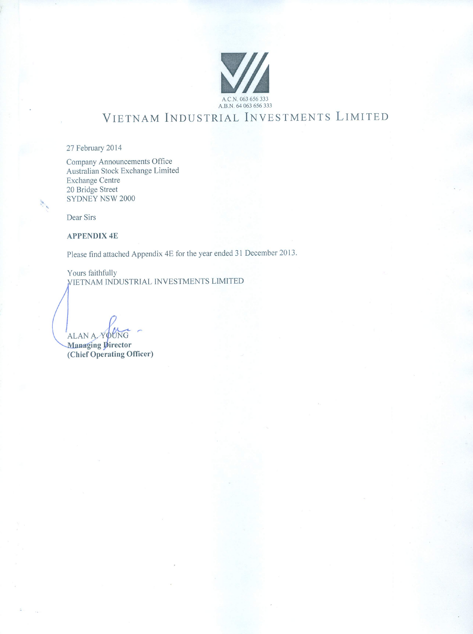

# VIETNAM INDUSTRIAL INVESTMENTS LIMITED

27 February 2014

Company Announcements Office Australian Stock Exchange Limited **Exchange Centre** 20 Bridge Street SYDNEY NSW 2000

Dear Sirs

**APPENDIX 4E** 

Please find attached Appendix 4E for the year ended 31 December 2013.

Yours faithfully VIETNAM INDUSTRIAL INVESTMENTS LIMITED

ALAN A YOUNG

Managing Director (Chief Operating Officer)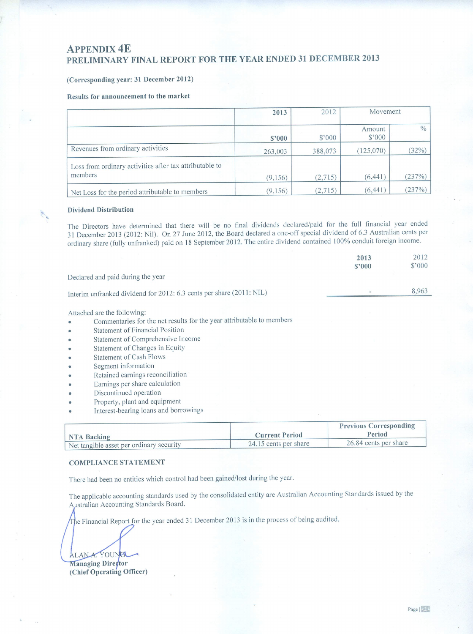### (Corresponding year: 31 December 2012)

#### Results for announcement to the market

|                                                                    | 2013     | 2012     | Movement         |               |
|--------------------------------------------------------------------|----------|----------|------------------|---------------|
|                                                                    | \$3000   | \$3000   | Amount<br>\$°000 | $\frac{0}{0}$ |
| Revenues from ordinary activities                                  | 263,003  | 388,073  | (125,070)        | (32%)         |
| Loss from ordinary activities after tax attributable to<br>members | (9, 156) | (2.715)  | (6, 441)         | (237%)        |
| Net Loss for the period attributable to members                    | (9,156)  | (2, 715) | (6, 441)         | (237%)        |

#### **Dividend Distribution**

The Directors have determined that there will be no final dividends declared/paid for the full financial year ended 31 December 2013 (2012: Nil). On 27 June 2012, the Board declared a one-off special dividend of 6.3 Australian cents per ordinary share (fully unfranked) paid on 18 September 2012. The entire dividend contained 100% conduit foreign income.

|                                                                                                               | 2013<br>\$2000                | 2012<br>$$^{\circ}000$ |
|---------------------------------------------------------------------------------------------------------------|-------------------------------|------------------------|
| Declared and paid during the year                                                                             |                               |                        |
| Interim unfranked dividend for 2012: 6.3 cents per share (2011: NIL)                                          |                               | 8,963                  |
| Attached are the following:<br>Commentaries for the net results for the year attributable to members          |                               |                        |
| <b>Statement of Financial Position</b><br>Statement of Comprehensive Income<br>Statement of Changes in Equity |                               |                        |
| <b>Statement of Cash Flows</b><br>Segment information                                                         |                               |                        |
| Retained earnings reconciliation<br>Earnings per share calculation<br>Discontinued operation                  |                               |                        |
| Property, plant and equipment<br>Interest-bearing loans and borrowings                                        |                               |                        |
|                                                                                                               | <b>Previous Corresponding</b> |                        |

|                                          |                       | <b>Previous Corresponding</b> |
|------------------------------------------|-----------------------|-------------------------------|
| NTA Backing                              | <b>Current Period</b> | Period                        |
| Net tangible asset per ordinary security | 24.15 cents per share | 26.84 cents per share         |

#### **COMPLIANCE STATEMENT**

There had been no entities which control had been gained/lost during the year.

The applicable accounting standards used by the consolidated entity are Australian Accounting Standards issued by the Australian Accounting Standards Board.

The Financial Report for the year ended 31 December 2013 is in the process of being audited.

ALANA. YOUNG Managing Director

(Chief Operating Officer)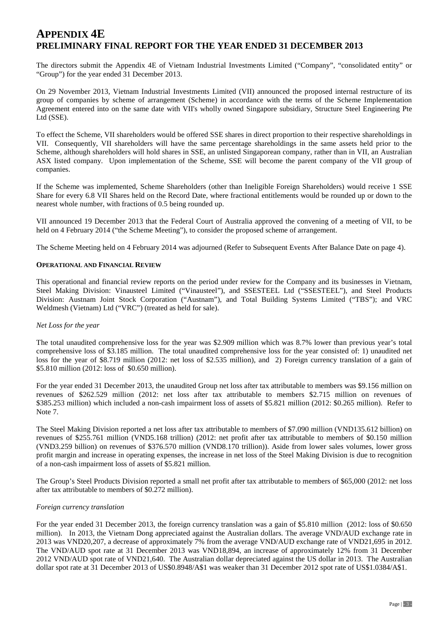The directors submit the Appendix 4E of Vietnam Industrial Investments Limited ("Company", "consolidated entity" or "Group") for the year ended 31 December 2013.

On 29 November 2013, Vietnam Industrial Investments Limited (VII) announced the proposed internal restructure of its group of companies by scheme of arrangement (Scheme) in accordance with the terms of the Scheme Implementation Agreement entered into on the same date with VII's wholly owned Singapore subsidiary, Structure Steel Engineering Pte Ltd (SSE).

To effect the Scheme, VII shareholders would be offered SSE shares in direct proportion to their respective shareholdings in VII. Consequently, VII shareholders will have the same percentage shareholdings in the same assets held prior to the Scheme, although shareholders will hold shares in SSE, an unlisted Singaporean company, rather than in VII, an Australian ASX listed company. Upon implementation of the Scheme, SSE will become the parent company of the VII group of companies.

If the Scheme was implemented, Scheme Shareholders (other than Ineligible Foreign Shareholders) would receive 1 SSE Share for every 6.8 VII Shares held on the Record Date, where fractional entitlements would be rounded up or down to the nearest whole number, with fractions of 0.5 being rounded up.

VII announced 19 December 2013 that the Federal Court of Australia approved the convening of a meeting of VII, to be held on 4 February 2014 ("the Scheme Meeting"), to consider the proposed scheme of arrangement.

The Scheme Meeting held on 4 February 2014 was adjourned (Refer to Subsequent Events After Balance Date on page 4).

#### **OPERATIONAL AND FINANCIAL REVIEW**

This operational and financial review reports on the period under review for the Company and its businesses in Vietnam, Steel Making Division: Vinausteel Limited ("Vinausteel"), and SSESTEEL Ltd ("SSESTEEL"), and Steel Products Division: Austnam Joint Stock Corporation ("Austnam"), and Total Building Systems Limited ("TBS"); and VRC Weldmesh (Vietnam) Ltd ("VRC") (treated as held for sale).

#### *Net Loss for the year*

The total unaudited comprehensive loss for the year was \$2.909 million which was 8.7% lower than previous year's total comprehensive loss of \$3.185 million. The total unaudited comprehensive loss for the year consisted of: 1) unaudited net loss for the year of \$8.719 million (2012: net loss of \$2.535 million), and 2) Foreign currency translation of a gain of \$5.810 million (2012: loss of \$0.650 million).

For the year ended 31 December 2013, the unaudited Group net loss after tax attributable to members was \$9.156 million on revenues of \$262.529 million (2012: net loss after tax attributable to members \$2.715 million on revenues of \$385.253 million) which included a non-cash impairment loss of assets of \$5.821 million (2012: \$0.265 million). Refer to Note 7.

The Steel Making Division reported a net loss after tax attributable to members of \$7.090 million (VND135.612 billion) on revenues of \$255.761 million (VND5.168 trillion) (2012: net profit after tax attributable to members of \$0.150 million (VND3.259 billion) on revenues of \$376.570 million (VND8.170 trillion)). Aside from lower sales volumes, lower gross profit margin and increase in operating expenses, the increase in net loss of the Steel Making Division is due to recognition of a non-cash impairment loss of assets of \$5.821 million.

The Group's Steel Products Division reported a small net profit after tax attributable to members of \$65,000 (2012: net loss after tax attributable to members of \$0.272 million).

#### *Foreign currency translation*

For the year ended 31 December 2013, the foreign currency translation was a gain of \$5.810 million (2012: loss of \$0.650 million). In 2013, the Vietnam Dong appreciated against the Australian dollars. The average VND/AUD exchange rate in 2013 was VND20,207, a decrease of approximately 7% from the average VND/AUD exchange rate of VND21,695 in 2012. The VND/AUD spot rate at 31 December 2013 was VND18,894, an increase of approximately 12% from 31 December 2012 VND/AUD spot rate of VND21,640. The Australian dollar depreciated against the US dollar in 2013. The Australian dollar spot rate at 31 December 2013 of US\$0.8948/A\$1 was weaker than 31 December 2012 spot rate of US\$1.0384/A\$1.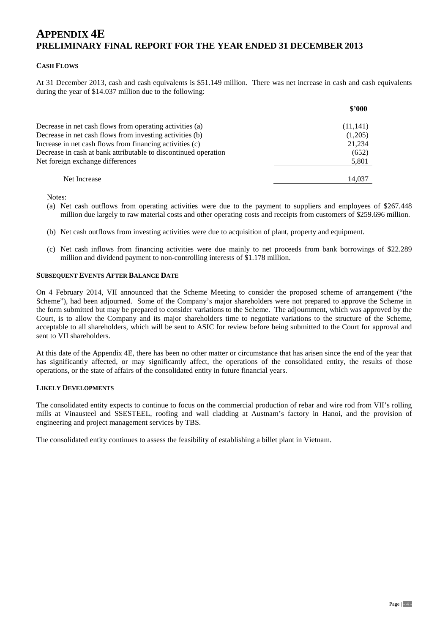#### **CASH FLOWS**

At 31 December 2013, cash and cash equivalents is \$51.149 million. There was net increase in cash and cash equivalents during the year of \$14.037 million due to the following:

|                                                                 | \$2000   |
|-----------------------------------------------------------------|----------|
| Decrease in net cash flows from operating activities (a)        | (11,141) |
| Decrease in net cash flows from investing activities (b)        | (1,205)  |
| Increase in net cash flows from financing activities (c)        | 21,234   |
| Decrease in cash at bank attributable to discontinued operation | (652)    |
| Net foreign exchange differences                                | 5,801    |
| Net Increase                                                    | 14.037   |

Notes:

- (a) Net cash outflows from operating activities were due to the payment to suppliers and employees of \$267.448 million due largely to raw material costs and other operating costs and receipts from customers of \$259.696 million.
- (b) Net cash outflows from investing activities were due to acquisition of plant, property and equipment.
- (c) Net cash inflows from financing activities were due mainly to net proceeds from bank borrowings of \$22.289 million and dividend payment to non-controlling interests of \$1.178 million.

#### **SUBSEQUENT EVENTS AFTER BALANCE DATE**

On 4 February 2014, VII announced that the Scheme Meeting to consider the proposed scheme of arrangement ("the Scheme"), had been adjourned. Some of the Company's major shareholders were not prepared to approve the Scheme in the form submitted but may be prepared to consider variations to the Scheme. The adjournment, which was approved by the Court, is to allow the Company and its major shareholders time to negotiate variations to the structure of the Scheme, acceptable to all shareholders, which will be sent to ASIC for review before being submitted to the Court for approval and sent to VII shareholders.

At this date of the Appendix 4E, there has been no other matter or circumstance that has arisen since the end of the year that has significantly affected, or may significantly affect, the operations of the consolidated entity, the results of those operations, or the state of affairs of the consolidated entity in future financial years.

#### **LIKELY DEVELOPMENTS**

The consolidated entity expects to continue to focus on the commercial production of rebar and wire rod from VII's rolling mills at Vinausteel and SSESTEEL, roofing and wall cladding at Austnam's factory in Hanoi, and the provision of engineering and project management services by TBS.

The consolidated entity continues to assess the feasibility of establishing a billet plant in Vietnam.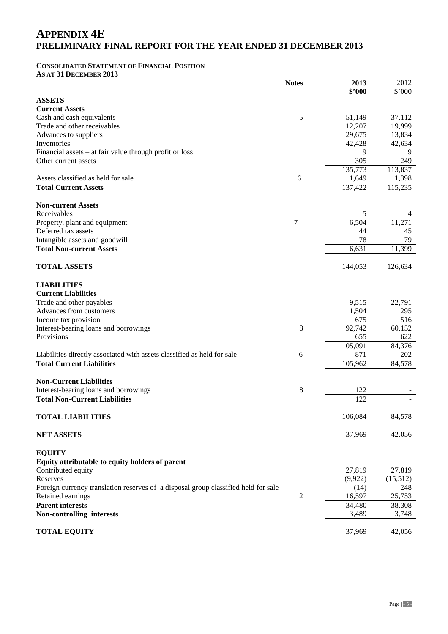#### **CONSOLIDATED STATEMENT OF FINANCIAL POSITION AS AT 31 DECEMBER 2013**

**Notes 2013 \$'000 ASSETS Current Assets** Cash and cash equivalents  $\frac{5}{5}$   $\frac{51,149}{37,112}$   $\frac{37,112}{37}$ Trade and other receivables 12,207 19,999 Advances to suppliers 29,675 13,834 Inventories  $42,428$   $42,634$ Financial assets – at fair value through profit or loss 9 9 Other current assets 305 249 135,773 113,837 Assets classified as held for sale<br> **COMPUTE:** Total Current Assets **COMPUTE:** 115,235<br> **COMPUTE:** 115,235<br> **COMPUTE:** 115,235 **Total Current Assets Non-current Assets** Receivables **5** 4 Property, plant and equipment 7 6,504 11,271 Deferred tax assets 45 Intangible assets and goodwill **78** 79 **Total Non-current Assets** 6,631 11,399 **TOTAL ASSETS** 126,634 **LIABILITIES Current Liabilities** Trade and other payables 22.791 22.791 Advances from customers 295 Income tax provision 675 516 Interest-bearing loans and borrowings and  $\frac{92,742}{60,152}$  60,152 Provisions 655 622 105,091 84,376 Liabilities directly associated with assets classified as held for sale 6 871 871 202 **Total Current Liabilities** 105,962 84,578 **Non-Current Liabilities** Interest-bearing loans and borrowings 8 122 **Total Non-Current Liabilities** 122 - **TOTAL LIABILITIES** 106,084 84,578 **NET ASSETS** 42,056 **EQUITY Equity attributable to equity holders of parent** Contributed equity 27,819 27,819 Reserves (9,922)  $(15,512)$ Foreign currency translation reserves of a disposal group classified held for sale (14) 248 Retained earnings 2 16,597 25,753 **Parent interests** 34,480 38,308

**Non-controlling interests** 3,489 3,748

### **TOTAL EQUITY** 37,969 42,056

2012 \$'000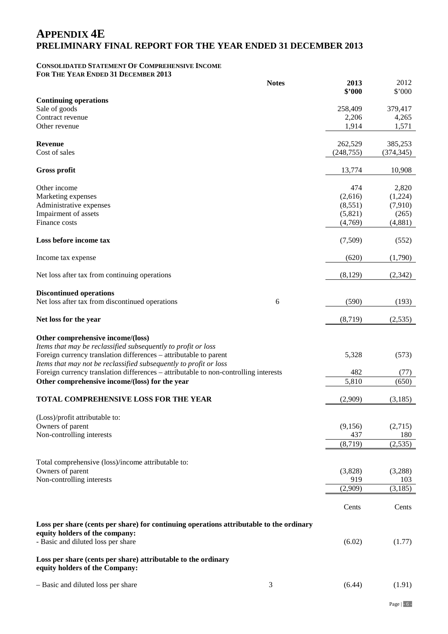### **CONSOLIDATED STATEMENT OF COMPREHENSIVE INCOME FOR THE YEAR ENDED 31 DECEMBER 2013**

|                                                                                         | <b>Notes</b> | 2013       | 2012       |
|-----------------------------------------------------------------------------------------|--------------|------------|------------|
|                                                                                         |              | \$'000     | \$'000     |
| <b>Continuing operations</b>                                                            |              |            |            |
| Sale of goods                                                                           |              | 258,409    | 379,417    |
| Contract revenue                                                                        |              | 2,206      | 4,265      |
| Other revenue                                                                           |              | 1,914      | 1,571      |
|                                                                                         |              |            |            |
| <b>Revenue</b>                                                                          |              | 262,529    | 385,253    |
| Cost of sales                                                                           |              | (248, 755) | (374, 345) |
|                                                                                         |              |            |            |
| <b>Gross profit</b>                                                                     |              | 13,774     | 10,908     |
|                                                                                         |              |            |            |
| Other income                                                                            |              | 474        | 2,820      |
| Marketing expenses                                                                      |              | (2,616)    | (1,224)    |
| Administrative expenses                                                                 |              | (8,551)    | (7,910)    |
| Impairment of assets                                                                    |              | (5,821)    | (265)      |
| Finance costs                                                                           |              | (4,769)    | (4,881)    |
|                                                                                         |              |            |            |
| Loss before income tax                                                                  |              | (7,509)    | (552)      |
|                                                                                         |              |            |            |
| Income tax expense                                                                      |              | (620)      | (1,790)    |
|                                                                                         |              |            |            |
|                                                                                         |              |            |            |
| Net loss after tax from continuing operations                                           |              | (8,129)    | (2,342)    |
|                                                                                         |              |            |            |
| <b>Discontinued operations</b>                                                          |              |            |            |
| Net loss after tax from discontinued operations                                         | 6            | (590)      | (193)      |
|                                                                                         |              |            |            |
| Net loss for the year                                                                   |              | (8,719)    | (2,535)    |
|                                                                                         |              |            |            |
| Other comprehensive income/(loss)                                                       |              |            |            |
| Items that may be reclassified subsequently to profit or loss                           |              |            |            |
| Foreign currency translation differences - attributable to parent                       |              | 5,328      | (573)      |
| Items that may not be reclassified subsequently to profit or loss                       |              |            |            |
| Foreign currency translation differences – attributable to non-controlling interests    |              | 482        | (77)       |
|                                                                                         |              | 5,810      |            |
| Other comprehensive income/(loss) for the year                                          |              |            | (650)      |
|                                                                                         |              |            |            |
| TOTAL COMPREHENSIVE LOSS FOR THE YEAR                                                   |              | (2,909)    | (3,185)    |
|                                                                                         |              |            |            |
| (Loss)/profit attributable to:                                                          |              |            |            |
| Owners of parent                                                                        |              | (9,156)    | (2,715)    |
| Non-controlling interests                                                               |              | 437        | 180        |
|                                                                                         |              | (8, 719)   | (2, 535)   |
|                                                                                         |              |            |            |
| Total comprehensive (loss)/income attributable to:                                      |              |            |            |
| Owners of parent                                                                        |              | (3,828)    | (3,288)    |
| Non-controlling interests                                                               |              | 919        | 103        |
|                                                                                         |              | (2,909)    | (3, 185)   |
|                                                                                         |              |            |            |
|                                                                                         |              |            |            |
|                                                                                         |              | Cents      | Cents      |
|                                                                                         |              |            |            |
| Loss per share (cents per share) for continuing operations attributable to the ordinary |              |            |            |
| equity holders of the company:                                                          |              |            |            |
| - Basic and diluted loss per share                                                      |              | (6.02)     | (1.77)     |
|                                                                                         |              |            |            |
| Loss per share (cents per share) attributable to the ordinary                           |              |            |            |
| equity holders of the Company:                                                          |              |            |            |
|                                                                                         |              |            |            |
| - Basic and diluted loss per share                                                      | 3            | (6.44)     | (1.91)     |
|                                                                                         |              |            |            |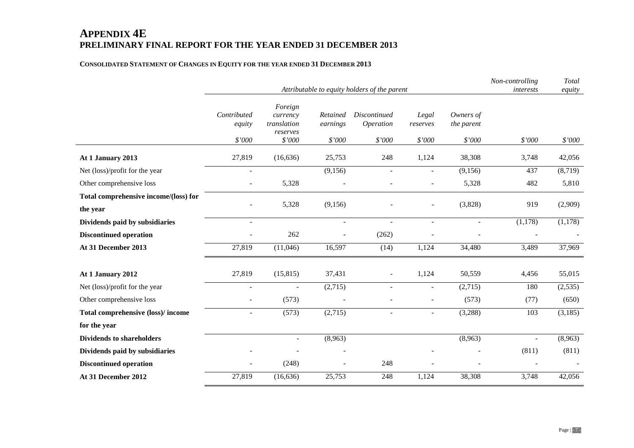### **CONSOLIDATED STATEMENT OF CHANGES IN EQUITY FOR THE YEAR ENDED 31 DECEMBER 2013**

|                                       |                       |                                                |                      | Attributable to equity holders of the parent |                          |                         | Non-controlling<br>interests | Total<br>equity |
|---------------------------------------|-----------------------|------------------------------------------------|----------------------|----------------------------------------------|--------------------------|-------------------------|------------------------------|-----------------|
|                                       |                       |                                                |                      |                                              |                          |                         |                              |                 |
|                                       | Contributed<br>equity | Foreign<br>currency<br>translation<br>reserves | Retained<br>earnings | <b>Discontinued</b><br>Operation             | Legal<br>reserves        | Owners of<br>the parent |                              |                 |
|                                       | \$'000                | \$'000                                         | \$'000               | \$'000                                       | \$'000                   | \$'000                  | \$'000                       | \$'000          |
| At 1 January 2013                     | 27,819                | (16, 636)                                      | 25,753               | 248                                          | 1,124                    | 38,308                  | 3,748                        | 42,056          |
| Net (loss)/profit for the year        | $\sim$                |                                                | (9,156)              | $\overline{a}$                               | $\overline{a}$           | (9,156)                 | 437                          | (8,719)         |
| Other comprehensive loss              | $\sim$                | 5,328                                          |                      |                                              |                          | 5,328                   | 482                          | 5,810           |
| Total comprehensive income/(loss) for |                       |                                                |                      |                                              |                          |                         |                              |                 |
| the year                              |                       | 5,328                                          | (9,156)              |                                              | ÷                        | (3,828)                 | 919                          | (2,909)         |
| Dividends paid by subsidiaries        | $\blacksquare$        |                                                | $\blacksquare$       | $\overline{a}$                               | $\blacksquare$           | $\blacksquare$          | (1,178)                      | (1,178)         |
| <b>Discontinued operation</b>         |                       | 262                                            |                      | (262)                                        |                          |                         |                              |                 |
| At 31 December 2013                   | 27,819                | (11,046)                                       | 16,597               | (14)                                         | 1,124                    | 34,480                  | 3,489                        | 37,969          |
|                                       |                       |                                                |                      |                                              |                          |                         |                              |                 |
| At 1 January 2012                     | 27,819                | (15, 815)                                      | 37,431               | $\blacksquare$                               | 1,124                    | 50,559                  | 4,456                        | 55,015          |
| Net (loss)/profit for the year        | $\blacksquare$        |                                                | (2,715)              | $\overline{a}$                               | $\overline{a}$           | (2,715)                 | 180                          | (2,535)         |
| Other comprehensive loss              | $\blacksquare$        | (573)                                          |                      |                                              | $\overline{\phantom{a}}$ | (573)                   | (77)                         | (650)           |
| Total comprehensive (loss)/ income    | $\blacksquare$        | (573)                                          | (2,715)              | $\overline{\phantom{a}}$                     | $\overline{\phantom{a}}$ | (3,288)                 | 103                          | (3,185)         |
| for the year                          |                       |                                                |                      |                                              |                          |                         |                              |                 |
| <b>Dividends to shareholders</b>      |                       | $\blacksquare$                                 | (8,963)              |                                              |                          | (8,963)                 | $\blacksquare$               | (8,963)         |
| Dividends paid by subsidiaries        |                       |                                                |                      |                                              |                          |                         | (811)                        | (811)           |
| <b>Discontinued operation</b>         |                       | (248)                                          |                      | 248                                          |                          |                         |                              |                 |
| At 31 December 2012                   | 27,819                | (16, 636)                                      | 25,753               | 248                                          | 1,124                    | 38,308                  | 3,748                        | 42,056          |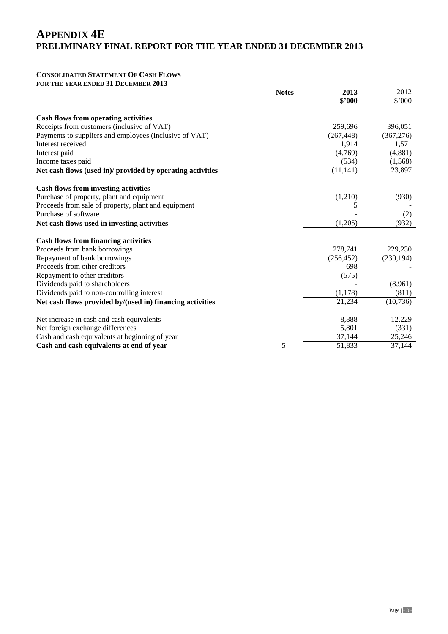## **CONSOLIDATED STATEMENT OF CASH FLOWS**

**FOR THE YEAR ENDED 31 DECEMBER 2013**

|                                                            | <b>Notes</b> | 2013<br>\$'000 | 2012<br>\$'000 |
|------------------------------------------------------------|--------------|----------------|----------------|
| <b>Cash flows from operating activities</b>                |              |                |                |
| Receipts from customers (inclusive of VAT)                 |              | 259,696        | 396,051        |
| Payments to suppliers and employees (inclusive of VAT)     |              | (267, 448)     | (367, 276)     |
| Interest received                                          |              | 1,914          | 1,571          |
| Interest paid                                              |              | (4,769)        | (4,881)        |
| Income taxes paid                                          |              | (534)          | (1,568)        |
| Net cash flows (used in)/ provided by operating activities |              | (11, 141)      | 23,897         |
| <b>Cash flows from investing activities</b>                |              |                |                |
| Purchase of property, plant and equipment                  |              | (1,210)        | (930)          |
| Proceeds from sale of property, plant and equipment        |              | 5              |                |
| Purchase of software                                       |              |                | (2)            |
| Net cash flows used in investing activities                |              | (1,205)        | (932)          |
| <b>Cash flows from financing activities</b>                |              |                |                |
| Proceeds from bank borrowings                              |              | 278,741        | 229,230        |
| Repayment of bank borrowings                               |              | (256, 452)     | (230, 194)     |
| Proceeds from other creditors                              |              | 698            |                |
| Repayment to other creditors                               |              | (575)          |                |
| Dividends paid to shareholders                             |              |                | (8,961)        |
| Dividends paid to non-controlling interest                 |              | (1,178)        | (811)          |
| Net cash flows provided by/(used in) financing activities  |              | 21,234         | (10, 736)      |
| Net increase in cash and cash equivalents                  |              | 8,888          | 12,229         |
| Net foreign exchange differences                           |              | 5,801          | (331)          |
| Cash and cash equivalents at beginning of year             |              | 37,144         | 25,246         |
| Cash and cash equivalents at end of year                   | 5            | 51,833         | 37,144         |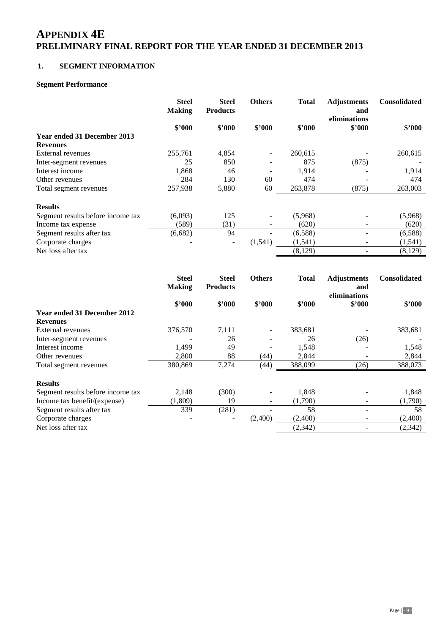### **1. SEGMENT INFORMATION**

### **Segment Performance**

|                                   | <b>Steel</b><br><b>Making</b> | <b>Steel</b><br><b>Products</b> | <b>Others</b> | <b>Total</b> | <b>Adjustments</b><br>and<br>eliminations | <b>Consolidated</b> |
|-----------------------------------|-------------------------------|---------------------------------|---------------|--------------|-------------------------------------------|---------------------|
|                                   | \$'000                        | \$2000                          | \$2000        | \$2000       | \$'000                                    | \$2000              |
| Year ended 31 December 2013       |                               |                                 |               |              |                                           |                     |
| <b>Revenues</b>                   |                               |                                 |               |              |                                           |                     |
| External revenues                 | 255,761                       | 4,854                           | $\sim$        | 260,615      |                                           | 260,615             |
| Inter-segment revenues            | 25                            | 850                             |               | 875          | (875)                                     |                     |
| Interest income                   | 1,868                         | 46                              |               | 1,914        |                                           | 1,914               |
| Other revenues                    | 284                           | 130                             | 60            | 474          | $\overline{\phantom{0}}$                  | 474                 |
| Total segment revenues            | 257,938                       | 5,880                           | 60            | 263,878      | (875)                                     | 263,003             |
| <b>Results</b>                    |                               |                                 |               |              |                                           |                     |
| Segment results before income tax | (6,093)                       | 125                             |               | (5,968)      |                                           | (5,968)             |
| Income tax expense                | (589)                         | (31)                            |               | (620)        |                                           | (620)               |
| Segment results after tax         | (6,682)                       | 94                              |               | (6,588)      |                                           | (6,588)             |
| Corporate charges                 |                               | $\overline{\phantom{a}}$        | (1,541)       | (1,541)      |                                           | (1, 541)            |
| Net loss after tax                |                               |                                 |               | (8,129)      |                                           | (8, 129)            |

|                                   | <b>Steel</b><br><b>Making</b> | <b>Steel</b><br><b>Products</b> | <b>Others</b> | <b>Total</b> | <b>Adjustments</b><br>and | <b>Consolidated</b> |
|-----------------------------------|-------------------------------|---------------------------------|---------------|--------------|---------------------------|---------------------|
|                                   | \$2000                        | \$2000                          | \$2000        | \$2000       | eliminations<br>\$2000    | \$2000              |
| Year ended 31 December 2012       |                               |                                 |               |              |                           |                     |
| <b>Revenues</b>                   |                               |                                 |               |              |                           |                     |
| External revenues                 | 376,570                       | 7,111                           |               | 383,681      |                           | 383,681             |
| Inter-segment revenues            |                               | 26                              |               | 26           | (26)                      |                     |
| Interest income                   | 1,499                         | 49                              |               | 1,548        |                           | 1,548               |
| Other revenues                    | 2,800                         | 88                              | (44)          | 2,844        |                           | 2,844               |
| Total segment revenues            | 380,869                       | 7,274                           | (44)          | 388,099      | (26)                      | 388,073             |
| <b>Results</b>                    |                               |                                 |               |              |                           |                     |
| Segment results before income tax | 2,148                         | (300)                           |               | 1,848        |                           | 1,848               |
| Income tax benefit/(expense)      | (1,809)                       | 19                              | -             | (1,790)      | ۰                         | (1,790)             |
| Segment results after tax         | 339                           | (281)                           |               | 58           |                           | 58                  |
| Corporate charges                 |                               |                                 | (2,400)       | (2,400)      |                           | (2,400)             |
| Net loss after tax                |                               |                                 |               | (2, 342)     |                           | (2, 342)            |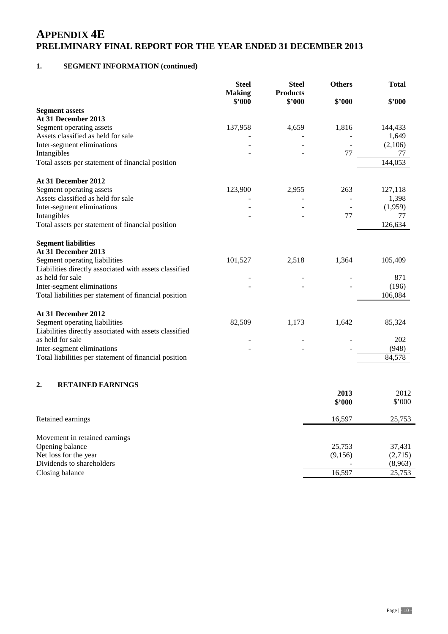### **1. SEGMENT INFORMATION (continued)**

|                                                        | <b>Steel</b><br><b>Making</b><br>\$'000 | <b>Steel</b><br><b>Products</b><br>\$'000 | <b>Others</b><br>\$'000 | <b>Total</b><br>\$2000 |
|--------------------------------------------------------|-----------------------------------------|-------------------------------------------|-------------------------|------------------------|
| <b>Segment assets</b>                                  |                                         |                                           |                         |                        |
| At 31 December 2013                                    |                                         |                                           |                         |                        |
| Segment operating assets                               | 137,958                                 | 4,659                                     | 1,816                   | 144,433                |
| Assets classified as held for sale                     |                                         |                                           |                         | 1,649                  |
| Inter-segment eliminations                             |                                         |                                           |                         | (2,106)                |
| Intangibles                                            |                                         |                                           | 77                      | 77                     |
| Total assets per statement of financial position       |                                         |                                           |                         | 144,053                |
| At 31 December 2012                                    |                                         |                                           |                         |                        |
| Segment operating assets                               | 123,900                                 | 2,955                                     | 263                     | 127,118                |
| Assets classified as held for sale                     |                                         |                                           |                         | 1,398                  |
| Inter-segment eliminations                             |                                         |                                           |                         | (1,959)                |
| Intangibles                                            |                                         |                                           | 77                      | 77                     |
| Total assets per statement of financial position       |                                         |                                           |                         | 126,634                |
| <b>Segment liabilities</b>                             |                                         |                                           |                         |                        |
| At 31 December 2013                                    |                                         |                                           |                         |                        |
| Segment operating liabilities                          | 101,527                                 | 2,518                                     | 1,364                   | 105,409                |
| Liabilities directly associated with assets classified |                                         |                                           |                         |                        |
| as held for sale                                       |                                         |                                           |                         | 871                    |
| Inter-segment eliminations                             |                                         |                                           |                         | (196)                  |
| Total liabilities per statement of financial position  |                                         |                                           |                         | 106,084                |
| At 31 December 2012                                    |                                         |                                           |                         |                        |
| Segment operating liabilities                          | 82,509                                  | 1,173                                     | 1,642                   | 85,324                 |
| Liabilities directly associated with assets classified |                                         |                                           |                         |                        |
| as held for sale                                       |                                         |                                           |                         | 202                    |
| Inter-segment eliminations                             |                                         |                                           |                         | (948)                  |
| Total liabilities per statement of financial position  |                                         |                                           |                         | 84,578                 |
| 2.<br><b>RETAINED EARNINGS</b>                         |                                         |                                           |                         |                        |
|                                                        |                                         |                                           | 2013                    | 2012                   |
|                                                        |                                         |                                           | \$2000                  | $$^{\circ}000$         |
| Retained earnings                                      |                                         |                                           | 16,597                  | 25,753                 |
| Movement in retained earnings                          |                                         |                                           |                         |                        |
| Opening balance                                        |                                         |                                           | 25,753                  | 37,431                 |
| Net loss for the year                                  |                                         |                                           | (9,156)                 | (2,715)                |
| Dividends to shareholders                              |                                         |                                           |                         | (8,963)                |
| Closing balance                                        |                                         |                                           | 16,597                  | 25,753                 |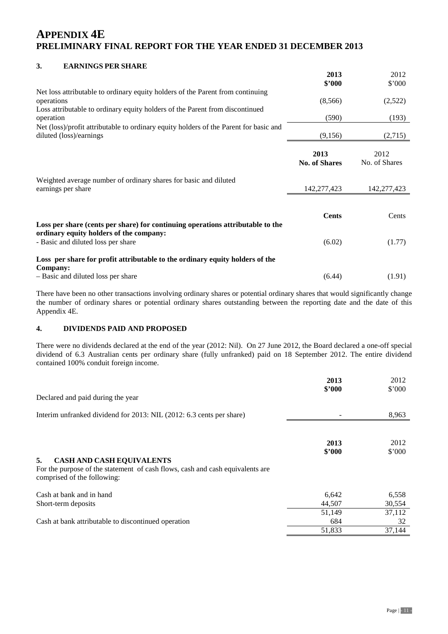### **3. EARNINGS PER SHARE**

|                                                                                                                                                                              | 2013<br>\$'000               | 2012<br>\$'000        |
|------------------------------------------------------------------------------------------------------------------------------------------------------------------------------|------------------------------|-----------------------|
| Net loss attributable to ordinary equity holders of the Parent from continuing<br>operations<br>Loss attributable to ordinary equity holders of the Parent from discontinued | (8,566)                      | (2,522)               |
| operation                                                                                                                                                                    | (590)                        | (193)                 |
| Net (loss)/profit attributable to ordinary equity holders of the Parent for basic and<br>diluted (loss)/earnings                                                             | (9,156)                      | (2,715)               |
|                                                                                                                                                                              | 2013<br><b>No. of Shares</b> | 2012<br>No. of Shares |
| Weighted average number of ordinary shares for basic and diluted<br>earnings per share                                                                                       | 142,277,423                  | 142,277,423           |
| Loss per share (cents per share) for continuing operations attributable to the<br>ordinary equity holders of the company:                                                    | <b>Cents</b>                 | Cents                 |
| - Basic and diluted loss per share                                                                                                                                           | (6.02)                       | (1.77)                |
| Loss per share for profit attributable to the ordinary equity holders of the<br>Company:                                                                                     |                              |                       |
| - Basic and diluted loss per share                                                                                                                                           | (6.44)                       | (1.91)                |

There have been no other transactions involving ordinary shares or potential ordinary shares that would significantly change the number of ordinary shares or potential ordinary shares outstanding between the reporting date and the date of this Appendix 4E.

### **4. DIVIDENDS PAID AND PROPOSED**

There were no dividends declared at the end of the year (2012: Nil). On 27 June 2012, the Board declared a one-off special dividend of 6.3 Australian cents per ordinary share (fully unfranked) paid on 18 September 2012. The entire dividend contained 100% conduit foreign income.

|                                                                                                                                                        | 2013<br>\$2000 | 2012<br>\$'000 |
|--------------------------------------------------------------------------------------------------------------------------------------------------------|----------------|----------------|
| Declared and paid during the year                                                                                                                      |                |                |
| Interim unfranked dividend for 2013: NIL (2012: 6.3 cents per share)                                                                                   |                | 8,963          |
|                                                                                                                                                        | 2013<br>\$2000 | 2012<br>\$'000 |
| 5.<br><b>CASH AND CASH EQUIVALENTS</b><br>For the purpose of the statement of cash flows, cash and cash equivalents are<br>comprised of the following: |                |                |
| Cash at bank and in hand                                                                                                                               | 6,642          | 6,558          |
| Short-term deposits                                                                                                                                    | 44,507         | 30,554         |
|                                                                                                                                                        | 51,149         | 37,112         |
| Cash at bank attributable to discontinued operation                                                                                                    | 684            | 32             |
|                                                                                                                                                        | 51,833         | 37,144         |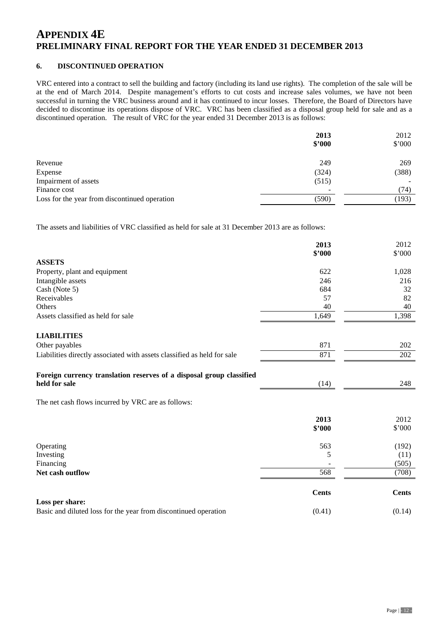### **6. DISCONTINUED OPERATION**

VRC entered into a contract to sell the building and factory (including its land use rights). The completion of the sale will be at the end of March 2014. Despite management's efforts to cut costs and increase sales volumes, we have not been successful in turning the VRC business around and it has continued to incur losses. Therefore, the Board of Directors have decided to discontinue its operations dispose of VRC. VRC has been classified as a disposal group held for sale and as a discontinued operation. The result of VRC for the year ended 31 December 2013 is as follows:

|                                               | 2013<br>\$3000 | 2012<br>\$'000 |
|-----------------------------------------------|----------------|----------------|
|                                               |                |                |
| Revenue                                       | 249            | 269            |
| Expense                                       | (324)          | (388)          |
| Impairment of assets                          | (515)          |                |
| Finance cost                                  | -              | (74)           |
| Loss for the year from discontinued operation | (590)          | (193)          |

The assets and liabilities of VRC classified as held for sale at 31 December 2013 are as follows:

|                                                                         | 2013<br>\$'000 | 2012<br>\$'000 |
|-------------------------------------------------------------------------|----------------|----------------|
| <b>ASSETS</b>                                                           |                |                |
| Property, plant and equipment                                           | 622            | 1,028          |
| Intangible assets                                                       | 246            | 216            |
| Cash (Note 5)                                                           | 684            | 32             |
| Receivables                                                             | 57             | 82             |
| Others                                                                  | 40             | 40             |
| Assets classified as held for sale                                      | 1,649          | 1,398          |
| <b>LIABILITIES</b>                                                      |                |                |
| Other payables                                                          | 871            | 202            |
| Liabilities directly associated with assets classified as held for sale | 871            | 202            |
| Foreign currency translation reserves of a disposal group classified    |                |                |
| held for sale                                                           | (14)           | 248            |
| The net cash flows incurred by VRC are as follows:                      |                |                |
|                                                                         | 2013           | 2012           |
|                                                                         | \$2000         | \$'000         |
| Operating                                                               | 563            | (192)          |
| Investing                                                               | 5              | (11)           |
| Financing                                                               |                | (505)          |
| Net cash outflow                                                        | 568            | (708)          |
|                                                                         | <b>Cents</b>   | <b>Cents</b>   |
| Loss per share:                                                         |                |                |
| Basic and diluted loss for the year from discontinued operation         | (0.41)         | (0.14)         |